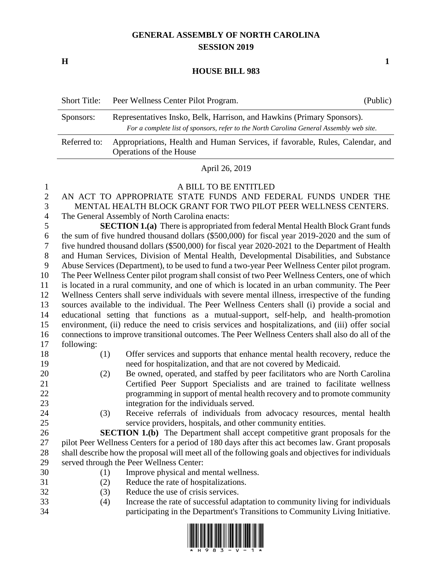## **GENERAL ASSEMBLY OF NORTH CAROLINA SESSION 2019**

**H 1**

## **HOUSE BILL 983**

|              | Short Title: Peer Wellness Center Pilot Program.                                                                                                                  | (Public) |
|--------------|-------------------------------------------------------------------------------------------------------------------------------------------------------------------|----------|
| Sponsors:    | Representatives Insko, Belk, Harrison, and Hawkins (Primary Sponsors).<br>For a complete list of sponsors, refer to the North Carolina General Assembly web site. |          |
| Referred to: | Appropriations, Health and Human Services, if favorable, Rules, Calendar, and<br>Operations of the House                                                          |          |

April 26, 2019

## A BILL TO BE ENTITLED

- AN ACT TO APPROPRIATE STATE FUNDS AND FEDERAL FUNDS UNDER THE MENTAL HEALTH BLOCK GRANT FOR TWO PILOT PEER WELLNESS CENTERS. The General Assembly of North Carolina enacts: **SECTION 1.(a)** There is appropriated from federal Mental Health Block Grant funds the sum of five hundred thousand dollars (\$500,000) for fiscal year 2019-2020 and the sum of five hundred thousand dollars (\$500,000) for fiscal year 2020-2021 to the Department of Health and Human Services, Division of Mental Health, Developmental Disabilities, and Substance Abuse Services (Department), to be used to fund a two-year Peer Wellness Center pilot program. The Peer Wellness Center pilot program shall consist of two Peer Wellness Centers, one of which is located in a rural community, and one of which is located in an urban community. The Peer Wellness Centers shall serve individuals with severe mental illness, irrespective of the funding sources available to the individual. The Peer Wellness Centers shall (i) provide a social and educational setting that functions as a mutual-support, self-help, and health-promotion environment, (ii) reduce the need to crisis services and hospitalizations, and (iii) offer social connections to improve transitional outcomes. The Peer Wellness Centers shall also do all of the following: (1) Offer services and supports that enhance mental health recovery, reduce the
- need for hospitalization, and that are not covered by Medicaid. (2) Be owned, operated, and staffed by peer facilitators who are North Carolina
- Certified Peer Support Specialists and are trained to facilitate wellness programming in support of mental health recovery and to promote community integration for the individuals served.
- (3) Receive referrals of individuals from advocacy resources, mental health service providers, hospitals, and other community entities.
- **SECTION 1.(b)** The Department shall accept competitive grant proposals for the pilot Peer Wellness Centers for a period of 180 days after this act becomes law. Grant proposals shall describe how the proposal will meet all of the following goals and objectives for individuals served through the Peer Wellness Center:
- (1) Improve physical and mental wellness.
- (2) Reduce the rate of hospitalizations.
- (3) Reduce the use of crisis services.
- (4) Increase the rate of successful adaptation to community living for individuals participating in the Department's Transitions to Community Living Initiative.